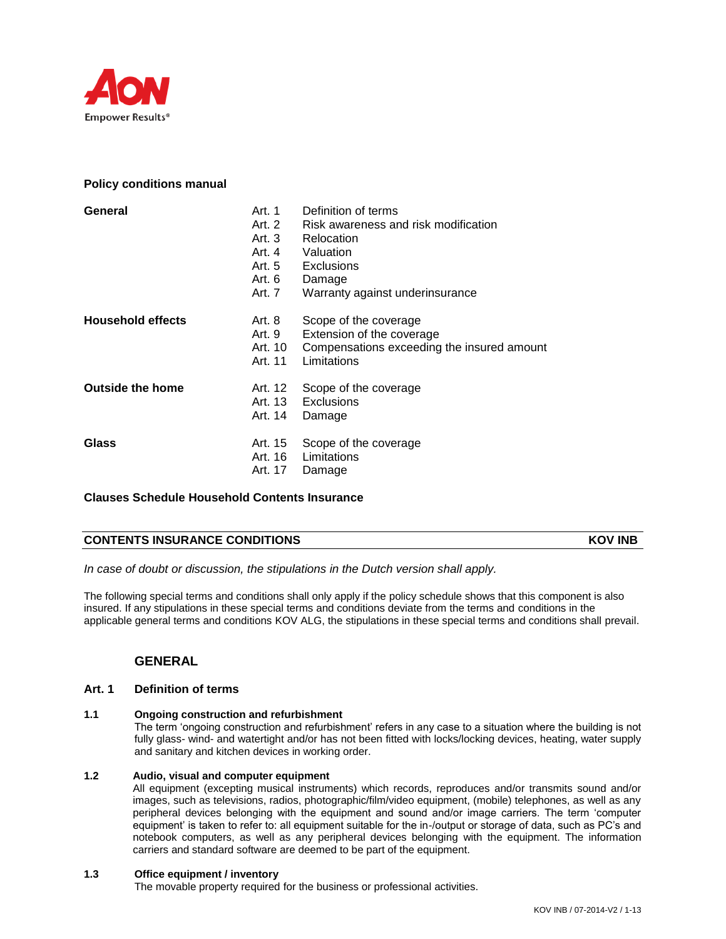

## **Policy conditions manual**

| General                  | Art. 1<br>Art. 2<br>Art. 3<br>Art. 4<br>Art. 5<br>Art. 6<br>Art. 7 | Definition of terms<br>Risk awareness and risk modification<br>Relocation<br>Valuation<br><b>Exclusions</b><br>Damage<br>Warranty against underinsurance |
|--------------------------|--------------------------------------------------------------------|----------------------------------------------------------------------------------------------------------------------------------------------------------|
| <b>Household effects</b> | Art. 8<br>Art. 9<br>Art. 10<br>Art. 11                             | Scope of the coverage<br>Extension of the coverage<br>Compensations exceeding the insured amount<br>Limitations                                          |
| <b>Outside the home</b>  | Art. 14                                                            | Art. 12 Scope of the coverage<br>Art. 13 Exclusions<br>Damage                                                                                            |
| Glass                    | Art. 15<br>Art. 16<br>Art. 17                                      | Scope of the coverage<br>Limitations<br>Damage                                                                                                           |

# **Clauses Schedule Household Contents Insurance**

### **CONTENTS INSURANCE CONDITIONS KOV INB**

*In case of doubt or discussion, the stipulations in the Dutch version shall apply.*

The following special terms and conditions shall only apply if the policy schedule shows that this component is also insured. If any stipulations in these special terms and conditions deviate from the terms and conditions in the applicable general terms and conditions KOV ALG, the stipulations in these special terms and conditions shall prevail.

# **GENERAL**

### **Art. 1 Definition of terms**

### **1.1 Ongoing construction and refurbishment**

The term 'ongoing construction and refurbishment' refers in any case to a situation where the building is not fully glass- wind- and watertight and/or has not been fitted with locks/locking devices, heating, water supply and sanitary and kitchen devices in working order.

## **1.2 Audio, visual and computer equipment**

All equipment (excepting musical instruments) which records, reproduces and/or transmits sound and/or images, such as televisions, radios, photographic/film/video equipment, (mobile) telephones, as well as any peripheral devices belonging with the equipment and sound and/or image carriers. The term 'computer equipment' is taken to refer to: all equipment suitable for the in-/output or storage of data, such as PC's and notebook computers, as well as any peripheral devices belonging with the equipment. The information carriers and standard software are deemed to be part of the equipment.

## **1.3 Office equipment / inventory**

The movable property required for the business or professional activities.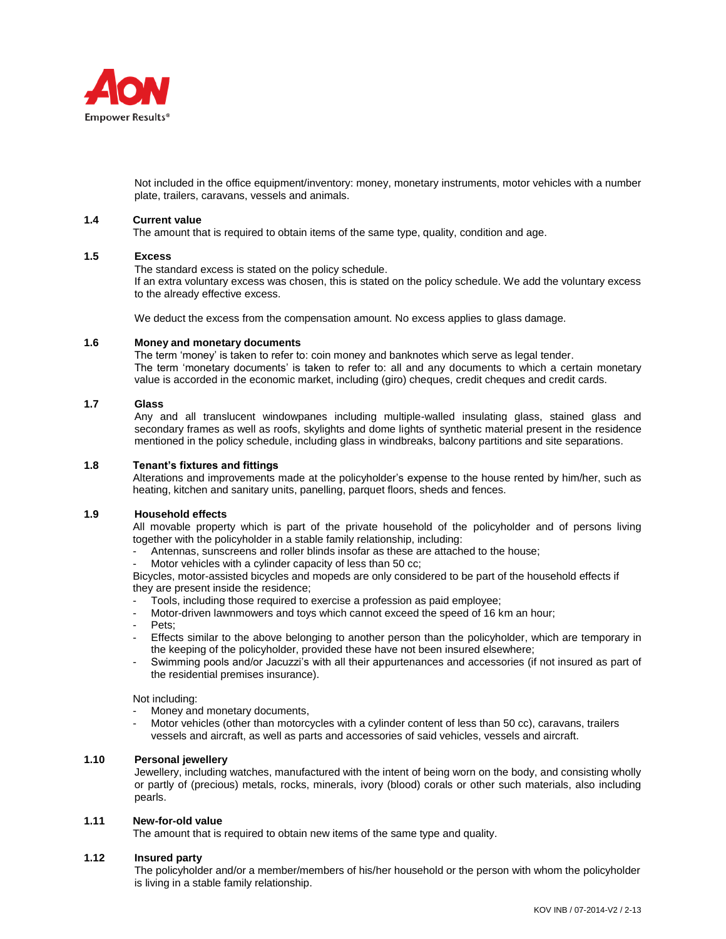

Not included in the office equipment/inventory: money, monetary instruments, motor vehicles with a number plate, trailers, caravans, vessels and animals.

#### **1.4 Current value**

The amount that is required to obtain items of the same type, quality, condition and age.

#### **1.5 Excess**

The standard excess is stated on the policy schedule.

If an extra voluntary excess was chosen, this is stated on the policy schedule. We add the voluntary excess to the already effective excess.

We deduct the excess from the compensation amount. No excess applies to glass damage.

#### **1.6 Money and monetary documents**

The term 'money' is taken to refer to: coin money and banknotes which serve as legal tender. The term 'monetary documents' is taken to refer to: all and any documents to which a certain monetary value is accorded in the economic market, including (giro) cheques, credit cheques and credit cards.

#### **1.7 Glass**

Any and all translucent windowpanes including multiple-walled insulating glass, stained glass and secondary frames as well as roofs, skylights and dome lights of synthetic material present in the residence mentioned in the policy schedule, including glass in windbreaks, balcony partitions and site separations.

#### **1.8 Tenant's fixtures and fittings**

Alterations and improvements made at the policyholder's expense to the house rented by him/her, such as heating, kitchen and sanitary units, panelling, parquet floors, sheds and fences.

#### **1.9 Household effects**

All movable property which is part of the private household of the policyholder and of persons living together with the policyholder in a stable family relationship, including:

- Antennas, sunscreens and roller blinds insofar as these are attached to the house;
- Motor vehicles with a cylinder capacity of less than 50 cc;

Bicycles, motor-assisted bicycles and mopeds are only considered to be part of the household effects if they are present inside the residence;

- Tools, including those required to exercise a profession as paid employee;
- Motor-driven lawnmowers and toys which cannot exceed the speed of 16 km an hour;
- Pets;
- Effects similar to the above belonging to another person than the policyholder, which are temporary in the keeping of the policyholder, provided these have not been insured elsewhere;
- Swimming pools and/or Jacuzzi's with all their appurtenances and accessories (if not insured as part of the residential premises insurance).

#### Not including:

- Money and monetary documents,
- Motor vehicles (other than motorcycles with a cylinder content of less than 50 cc), caravans, trailers vessels and aircraft, as well as parts and accessories of said vehicles, vessels and aircraft.

#### **1.10 Personal jewellery**

Jewellery, including watches, manufactured with the intent of being worn on the body, and consisting wholly or partly of (precious) metals, rocks, minerals, ivory (blood) corals or other such materials, also including pearls.

## **1.11 New-for-old value**

The amount that is required to obtain new items of the same type and quality.

### **1.12 Insured party**

The policyholder and/or a member/members of his/her household or the person with whom the policyholder is living in a stable family relationship.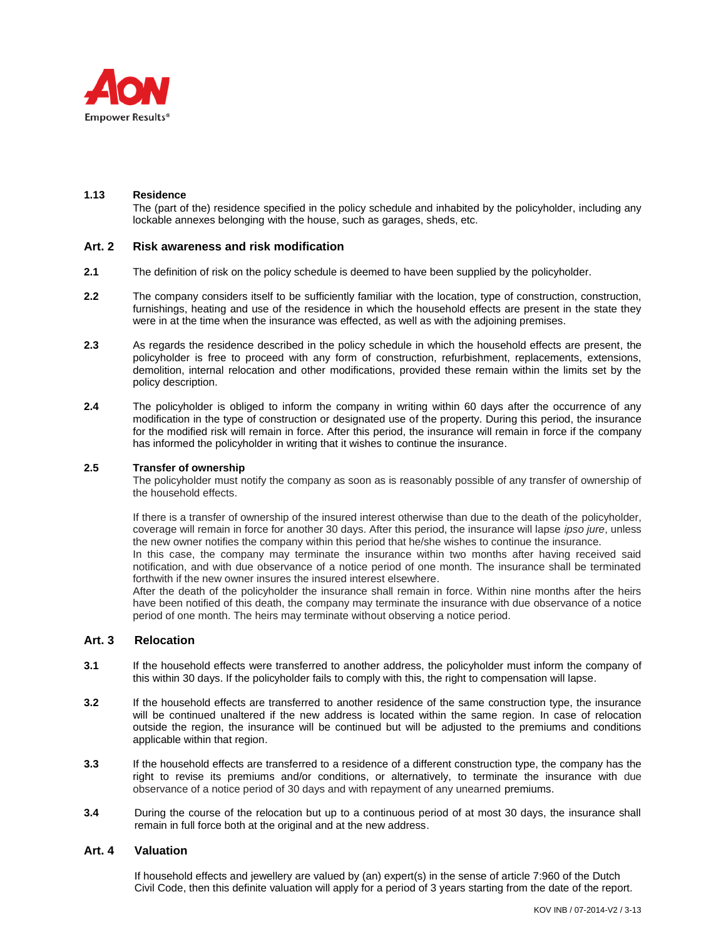

#### **1.13 Residence**

The (part of the) residence specified in the policy schedule and inhabited by the policyholder, including any lockable annexes belonging with the house, such as garages, sheds, etc.

### **Art. 2 Risk awareness and risk modification**

- **2.1** The definition of risk on the policy schedule is deemed to have been supplied by the policyholder.
- **2.2** The company considers itself to be sufficiently familiar with the location, type of construction, construction, furnishings, heating and use of the residence in which the household effects are present in the state they were in at the time when the insurance was effected, as well as with the adjoining premises.
- **2.3** As regards the residence described in the policy schedule in which the household effects are present, the policyholder is free to proceed with any form of construction, refurbishment, replacements, extensions, demolition, internal relocation and other modifications, provided these remain within the limits set by the policy description.
- **2.4** The policyholder is obliged to inform the company in writing within 60 days after the occurrence of any modification in the type of construction or designated use of the property. During this period, the insurance for the modified risk will remain in force. After this period, the insurance will remain in force if the company has informed the policyholder in writing that it wishes to continue the insurance.

#### **2.5 Transfer of ownership**

The policyholder must notify the company as soon as is reasonably possible of any transfer of ownership of the household effects.

If there is a transfer of ownership of the insured interest otherwise than due to the death of the policyholder, coverage will remain in force for another 30 days. After this period, the insurance will lapse *ipso jure*, unless the new owner notifies the company within this period that he/she wishes to continue the insurance. In this case, the company may terminate the insurance within two months after having received said notification, and with due observance of a notice period of one month. The insurance shall be terminated forthwith if the new owner insures the insured interest elsewhere.

After the death of the policyholder the insurance shall remain in force. Within nine months after the heirs have been notified of this death, the company may terminate the insurance with due observance of a notice period of one month. The heirs may terminate without observing a notice period.

### **Art. 3 Relocation**

- **3.1** If the household effects were transferred to another address, the policyholder must inform the company of this within 30 days. If the policyholder fails to comply with this, the right to compensation will lapse.
- **3.2** If the household effects are transferred to another residence of the same construction type, the insurance will be continued unaltered if the new address is located within the same region. In case of relocation outside the region, the insurance will be continued but will be adjusted to the premiums and conditions applicable within that region.
- **3.3** If the household effects are transferred to a residence of a different construction type, the company has the right to revise its premiums and/or conditions, or alternatively, to terminate the insurance with due observance of a notice period of 30 days and with repayment of any unearned premiums.
- **3.4** During the course of the relocation but up to a continuous period of at most 30 days, the insurance shall remain in full force both at the original and at the new address.

### **Art. 4 Valuation**

If household effects and jewellery are valued by (an) expert(s) in the sense of article 7:960 of the Dutch Civil Code, then this definite valuation will apply for a period of 3 years starting from the date of the report.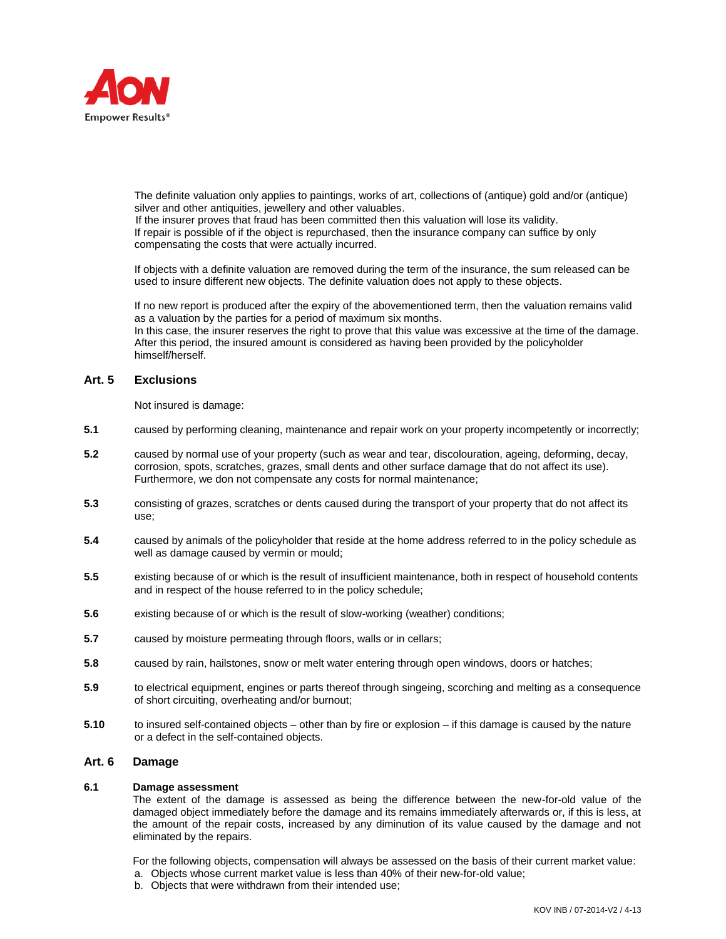

The definite valuation only applies to paintings, works of art, collections of (antique) gold and/or (antique) silver and other antiquities, jewellery and other valuables.

 If the insurer proves that fraud has been committed then this valuation will lose its validity. If repair is possible of if the object is repurchased, then the insurance company can suffice by only compensating the costs that were actually incurred.

If objects with a definite valuation are removed during the term of the insurance, the sum released can be used to insure different new objects. The definite valuation does not apply to these objects.

If no new report is produced after the expiry of the abovementioned term, then the valuation remains valid as a valuation by the parties for a period of maximum six months.

In this case, the insurer reserves the right to prove that this value was excessive at the time of the damage. After this period, the insured amount is considered as having been provided by the policyholder himself/herself.

## **Art. 5 Exclusions**

Not insured is damage:

- **5.1** caused by performing cleaning, maintenance and repair work on your property incompetently or incorrectly;
- **5.2** caused by normal use of your property (such as wear and tear, discolouration, ageing, deforming, decay, corrosion, spots, scratches, grazes, small dents and other surface damage that do not affect its use). Furthermore, we don not compensate any costs for normal maintenance;
- **5.3** consisting of grazes, scratches or dents caused during the transport of your property that do not affect its use;
- **5.4** caused by animals of the policyholder that reside at the home address referred to in the policy schedule as well as damage caused by vermin or mould;
- **5.5** existing because of or which is the result of insufficient maintenance, both in respect of household contents and in respect of the house referred to in the policy schedule;
- **5.6** existing because of or which is the result of slow-working (weather) conditions;
- **5.7** caused by moisture permeating through floors, walls or in cellars;
- **5.8** caused by rain, hailstones, snow or melt water entering through open windows, doors or hatches;
- **5.9** to electrical equipment, engines or parts thereof through singeing, scorching and melting as a consequence of short circuiting, overheating and/or burnout;
- **5.10** to insured self-contained objects other than by fire or explosion if this damage is caused by the nature or a defect in the self-contained objects.

## **Art. 6 Damage**

### **6.1 Damage assessment**

The extent of the damage is assessed as being the difference between the new-for-old value of the damaged object immediately before the damage and its remains immediately afterwards or, if this is less, at the amount of the repair costs, increased by any diminution of its value caused by the damage and not eliminated by the repairs.

For the following objects, compensation will always be assessed on the basis of their current market value:

- a. Objects whose current market value is less than 40% of their new-for-old value;
- b. Objects that were withdrawn from their intended use;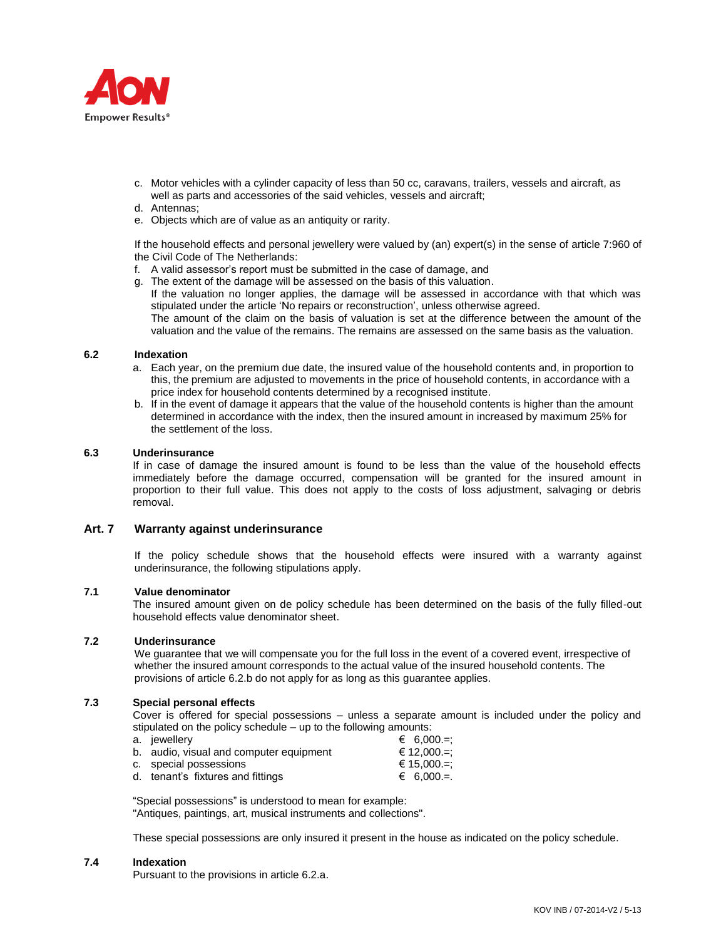

- c. Motor vehicles with a cylinder capacity of less than 50 cc, caravans, trailers, vessels and aircraft, as well as parts and accessories of the said vehicles, vessels and aircraft;
- d. Antennas;
- e. Objects which are of value as an antiquity or rarity.

If the household effects and personal jewellery were valued by (an) expert(s) in the sense of article 7:960 of the Civil Code of The Netherlands:

- f. A valid assessor's report must be submitted in the case of damage, and
- g. The extent of the damage will be assessed on the basis of this valuation. If the valuation no longer applies, the damage will be assessed in accordance with that which was stipulated under the article 'No repairs or reconstruction', unless otherwise agreed. The amount of the claim on the basis of valuation is set at the difference between the amount of the valuation and the value of the remains. The remains are assessed on the same basis as the valuation.

#### **6.2 Indexation**

- a. Each year, on the premium due date, the insured value of the household contents and, in proportion to this, the premium are adjusted to movements in the price of household contents, in accordance with a price index for household contents determined by a recognised institute.
- b. If in the event of damage it appears that the value of the household contents is higher than the amount determined in accordance with the index, then the insured amount in increased by maximum 25% for the settlement of the loss.

#### **6.3 Underinsurance**

If in case of damage the insured amount is found to be less than the value of the household effects immediately before the damage occurred, compensation will be granted for the insured amount in proportion to their full value. This does not apply to the costs of loss adjustment, salvaging or debris .<br>removal.

### **Art. 7 Warranty against underinsurance**

If the policy schedule shows that the household effects were insured with a warranty against underinsurance, the following stipulations apply.

### **7.1 Value denominator**

The insured amount given on de policy schedule has been determined on the basis of the fully filled-out household effects value denominator sheet.

### **7.2 Underinsurance**

We quarantee that we will compensate you for the full loss in the event of a covered event, irrespective of whether the insured amount corresponds to the actual value of the insured household contents. The provisions of article 6.2.b do not apply for as long as this guarantee applies.

### **7.3 Special personal effects**

Cover is offered for special possessions – unless a separate amount is included under the policy and stipulated on the policy schedule – up to the following amounts:

- a. jewellery  $\epsilon$  6,000.=: b. audio, visual and computer equipment  $\epsilon$  12,000.=; c. special possessions  $\epsilon$  15,000.=;
- d. tenant's fixtures and fittings  $\epsilon$  6,000.=

"Special possessions" is understood to mean for example:

"Antiques, paintings, art, musical instruments and collections".

These special possessions are only insured it present in the house as indicated on the policy schedule.

# **7.4 Indexation**

Pursuant to the provisions in article 6.2.a.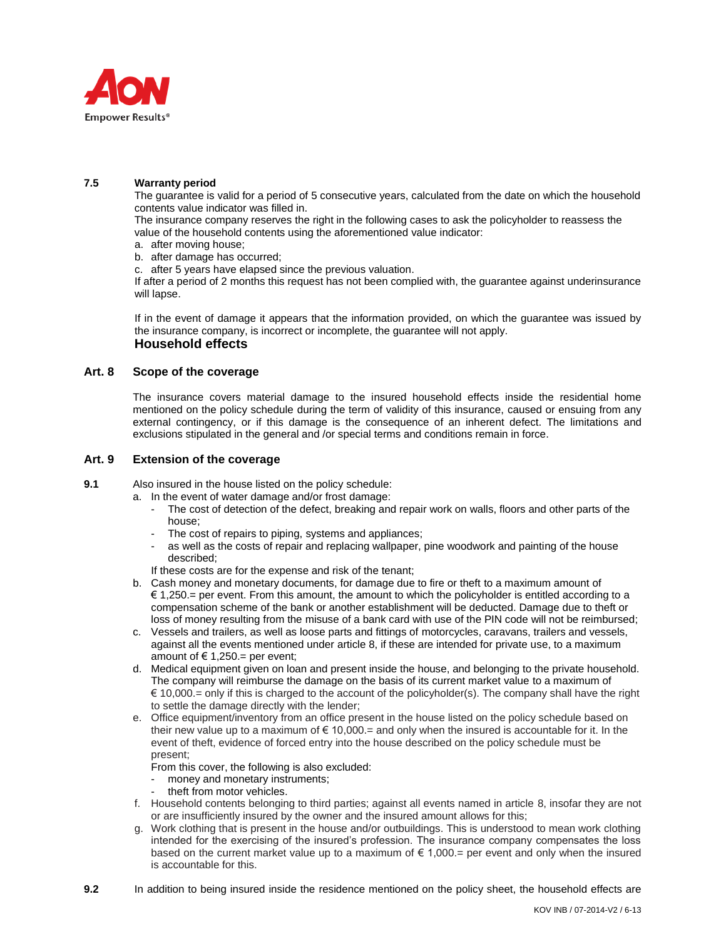

## **7.5 Warranty period**

The guarantee is valid for a period of 5 consecutive years, calculated from the date on which the household contents value indicator was filled in.

The insurance company reserves the right in the following cases to ask the policyholder to reassess the value of the household contents using the aforementioned value indicator:

- a. after moving house;
- b. after damage has occurred;

c. after 5 years have elapsed since the previous valuation.

If after a period of 2 months this request has not been complied with, the guarantee against underinsurance will lapse.

If in the event of damage it appears that the information provided, on which the guarantee was issued by the insurance company, is incorrect or incomplete, the guarantee will not apply. **Household effects**

# **Art. 8 Scope of the coverage**

The insurance covers material damage to the insured household effects inside the residential home mentioned on the policy schedule during the term of validity of this insurance, caused or ensuing from any external contingency, or if this damage is the consequence of an inherent defect. The limitations and exclusions stipulated in the general and /or special terms and conditions remain in force.

## **Art. 9 Extension of the coverage**

**9.1** Also insured in the house listed on the policy schedule:

- a. In the event of water damage and/or frost damage:
	- The cost of detection of the defect, breaking and repair work on walls, floors and other parts of the house;
	- The cost of repairs to piping, systems and appliances;
	- as well as the costs of repair and replacing wallpaper, pine woodwork and painting of the house described;
	- If these costs are for the expense and risk of the tenant;
	- b. Cash money and monetary documents, for damage due to fire or theft to a maximum amount of € 1,250.= per event. From this amount, the amount to which the policyholder is entitled according to a compensation scheme of the bank or another establishment will be deducted. Damage due to theft or loss of money resulting from the misuse of a bank card with use of the PIN code will not be reimbursed;
	- c. Vessels and trailers, as well as loose parts and fittings of motorcycles, caravans, trailers and vessels, against all the events mentioned under article 8, if these are intended for private use, to a maximum amount of  $\in$  1,250.= per event;
	- d. Medical equipment given on loan and present inside the house, and belonging to the private household. The company will reimburse the damage on the basis of its current market value to a maximum of  $\in$  10,000.= only if this is charged to the account of the policyholder(s). The company shall have the right to settle the damage directly with the lender;
	- e. Office equipment/inventory from an office present in the house listed on the policy schedule based on their new value up to a maximum of  $\in$  10,000 = and only when the insured is accountable for it. In the event of theft, evidence of forced entry into the house described on the policy schedule must be present;
		- From this cover, the following is also excluded:
		- money and monetary instruments;
		- theft from motor vehicles.
	- f. Household contents belonging to third parties; against all events named in article 8, insofar they are not or are insufficiently insured by the owner and the insured amount allows for this;
	- g. Work clothing that is present in the house and/or outbuildings. This is understood to mean work clothing intended for the exercising of the insured's profession. The insurance company compensates the loss based on the current market value up to a maximum of  $\epsilon$  1,000.= per event and only when the insured is accountable for this.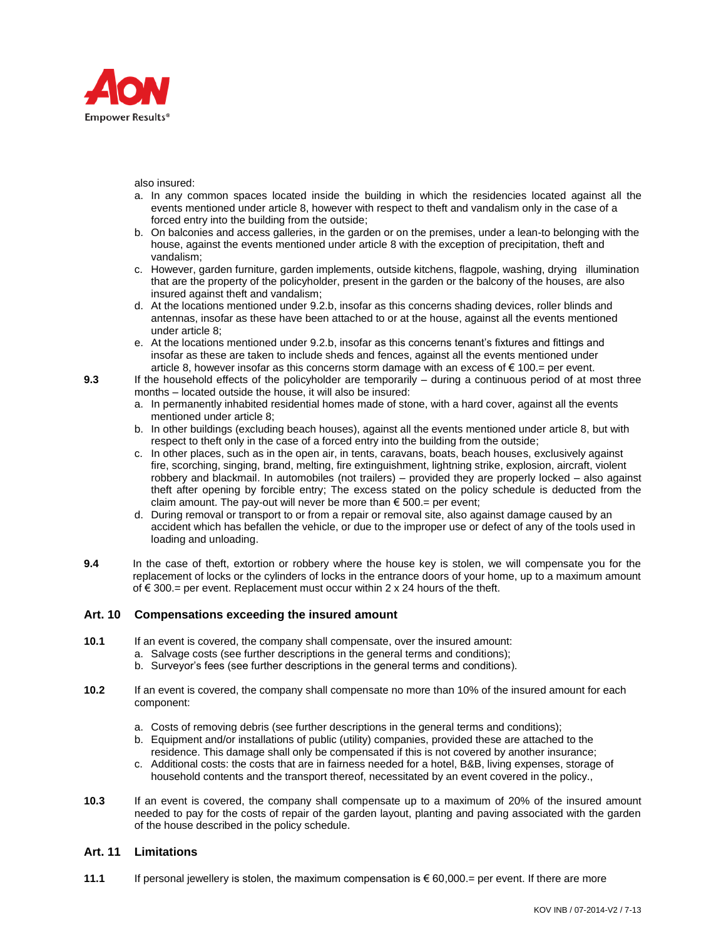

also insured:

- a. In any common spaces located inside the building in which the residencies located against all the events mentioned under article 8, however with respect to theft and vandalism only in the case of a forced entry into the building from the outside;
- b. On balconies and access galleries, in the garden or on the premises, under a lean-to belonging with the house, against the events mentioned under article 8 with the exception of precipitation, theft and vandalism;
- c. However, garden furniture, garden implements, outside kitchens, flagpole, washing, drying illumination that are the property of the policyholder, present in the garden or the balcony of the houses, are also insured against theft and vandalism;
- d. At the locations mentioned under 9.2.b, insofar as this concerns shading devices, roller blinds and antennas, insofar as these have been attached to or at the house, against all the events mentioned under article 8;
- e. At the locations mentioned under 9.2.b, insofar as this concerns tenant's fixtures and fittings and insofar as these are taken to include sheds and fences, against all the events mentioned under article 8, however insofar as this concerns storm damage with an excess of  $\epsilon$  100.= per event.

**9.3** If the household effects of the policyholder are temporarily – during a continuous period of at most three months – located outside the house, it will also be insured:

- a. In permanently inhabited residential homes made of stone, with a hard cover, against all the events mentioned under article 8;
- b. In other buildings (excluding beach houses), against all the events mentioned under article 8, but with respect to theft only in the case of a forced entry into the building from the outside;
- c. In other places, such as in the open air, in tents, caravans, boats, beach houses, exclusively against fire, scorching, singing, brand, melting, fire extinguishment, lightning strike, explosion, aircraft, violent robbery and blackmail. In automobiles (not trailers) – provided they are properly locked – also against theft after opening by forcible entry; The excess stated on the policy schedule is deducted from the claim amount. The pay-out will never be more than  $\epsilon$  500.= per event;
- d. During removal or transport to or from a repair or removal site, also against damage caused by an accident which has befallen the vehicle, or due to the improper use or defect of any of the tools used in loading and unloading.
- **9.4** In the case of theft, extortion or robbery where the house key is stolen, we will compensate you for the replacement of locks or the cylinders of locks in the entrance doors of your home, up to a maximum amount of € 300.= per event. Replacement must occur within 2 x 24 hours of the theft.

# **Art. 10 Compensations exceeding the insured amount**

- **10.1** If an event is covered, the company shall compensate, over the insured amount:
	- a. Salvage costs (see further descriptions in the general terms and conditions);
	- b. Surveyor's fees (see further descriptions in the general terms and conditions).
- **10.2** If an event is covered, the company shall compensate no more than 10% of the insured amount for each component:
	- a. Costs of removing debris (see further descriptions in the general terms and conditions);
	- b. Equipment and/or installations of public (utility) companies, provided these are attached to the residence. This damage shall only be compensated if this is not covered by another insurance;
	- c. Additional costs: the costs that are in fairness needed for a hotel, B&B, living expenses, storage of household contents and the transport thereof, necessitated by an event covered in the policy.,
- **10.3** If an event is covered, the company shall compensate up to a maximum of 20% of the insured amount needed to pay for the costs of repair of the garden layout, planting and paving associated with the garden of the house described in the policy schedule.

# **Art. 11 Limitations**

**11.1** If personal jewellery is stolen, the maximum compensation is  $\epsilon$  60,000.= per event. If there are more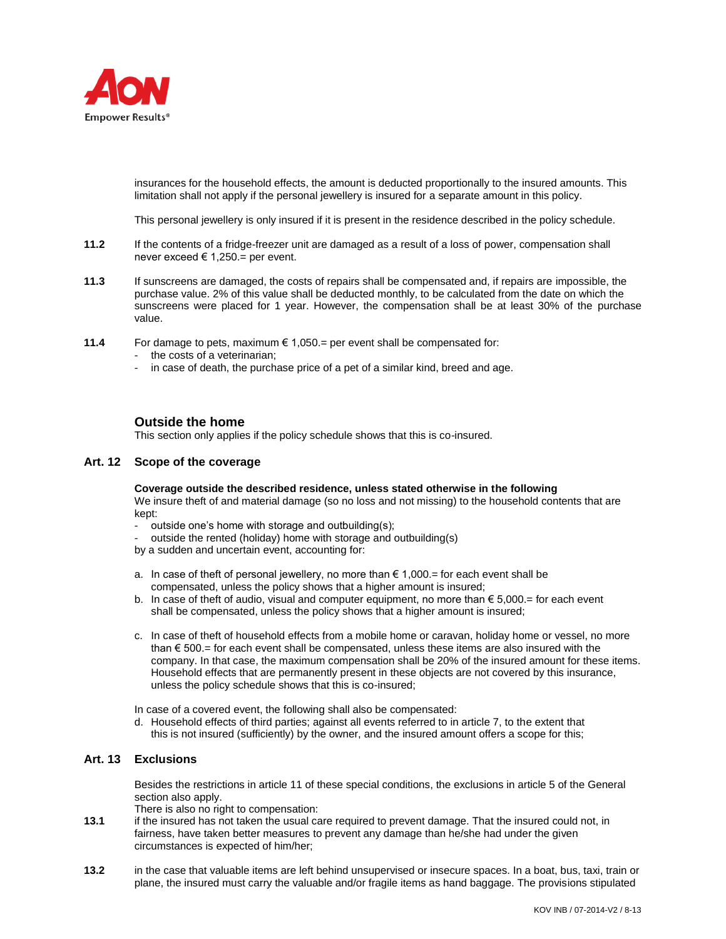

insurances for the household effects, the amount is deducted proportionally to the insured amounts. This limitation shall not apply if the personal jewellery is insured for a separate amount in this policy.

This personal jewellery is only insured if it is present in the residence described in the policy schedule.

- **11.2** If the contents of a fridge-freezer unit are damaged as a result of a loss of power, compensation shall never exceed € 1,250.= per event.
- **11.3** If sunscreens are damaged, the costs of repairs shall be compensated and, if repairs are impossible, the purchase value. 2% of this value shall be deducted monthly, to be calculated from the date on which the sunscreens were placed for 1 year. However, the compensation shall be at least 30% of the purchase value.
- **11.4** For damage to pets, maximum  $\epsilon$  1,050. per event shall be compensated for:
	- the costs of a veterinarian;
	- in case of death, the purchase price of a pet of a similar kind, breed and age.

# **Outside the home**

This section only applies if the policy schedule shows that this is co-insured.

### **Art. 12 Scope of the coverage**

**Coverage outside the described residence, unless stated otherwise in the following**  We insure theft of and material damage (so no loss and not missing) to the household contents that are

- kept:
	- outside one's home with storage and outbuilding(s);
	- outside the rented (holiday) home with storage and outbuilding(s)
- by a sudden and uncertain event, accounting for:
- a. In case of theft of personal jewellery, no more than  $\epsilon$  1,000.= for each event shall be compensated, unless the policy shows that a higher amount is insured;
- b. In case of theft of audio, visual and computer equipment, no more than € 5,000.= for each event shall be compensated, unless the policy shows that a higher amount is insured;
- c. In case of theft of household effects from a mobile home or caravan, holiday home or vessel, no more than  $\epsilon$  500.= for each event shall be compensated, unless these items are also insured with the company. In that case, the maximum compensation shall be 20% of the insured amount for these items. Household effects that are permanently present in these objects are not covered by this insurance, unless the policy schedule shows that this is co-insured;

In case of a covered event, the following shall also be compensated:

d. Household effects of third parties; against all events referred to in article 7, to the extent that this is not insured (sufficiently) by the owner, and the insured amount offers a scope for this;

### **Art. 13 Exclusions**

Besides the restrictions in article 11 of these special conditions, the exclusions in article 5 of the General section also apply.

There is also no right to compensation:

- **13.1** if the insured has not taken the usual care required to prevent damage. That the insured could not, in fairness, have taken better measures to prevent any damage than he/she had under the given circumstances is expected of him/her;
- **13.2** in the case that valuable items are left behind unsupervised or insecure spaces. In a boat, bus, taxi, train or plane, the insured must carry the valuable and/or fragile items as hand baggage. The provisions stipulated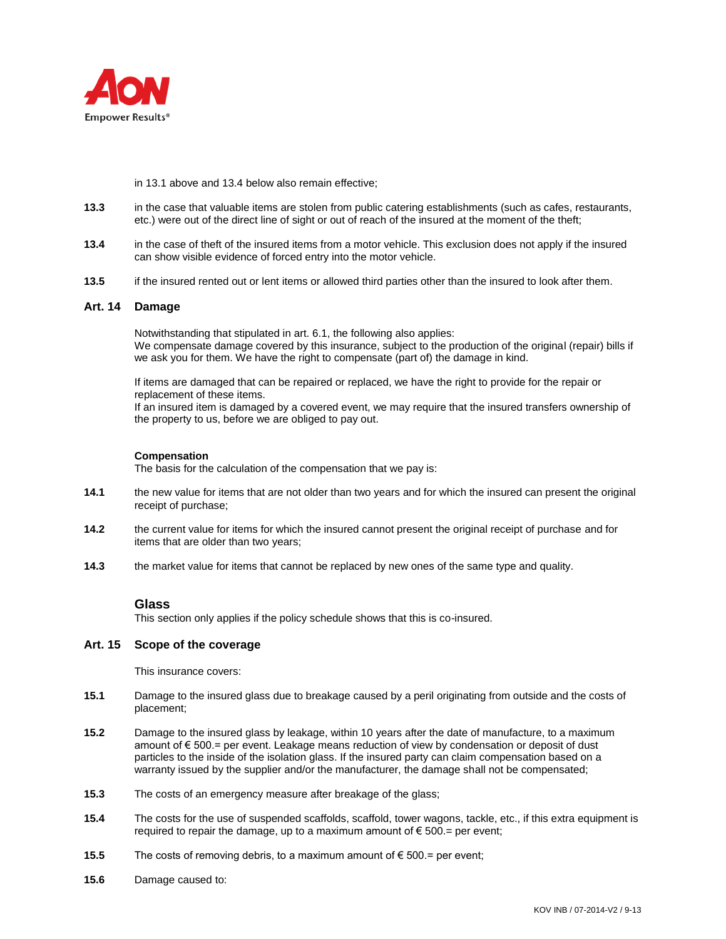

in 13.1 above and 13.4 below also remain effective;

- **13.3** in the case that valuable items are stolen from public catering establishments (such as cafes, restaurants, etc.) were out of the direct line of sight or out of reach of the insured at the moment of the theft;
- **13.4** in the case of theft of the insured items from a motor vehicle. This exclusion does not apply if the insured can show visible evidence of forced entry into the motor vehicle.
- **13.5** if the insured rented out or lent items or allowed third parties other than the insured to look after them.

## **Art. 14 Damage**

Notwithstanding that stipulated in art. 6.1, the following also applies: We compensate damage covered by this insurance, subject to the production of the original (repair) bills if we ask you for them. We have the right to compensate (part of) the damage in kind.

If items are damaged that can be repaired or replaced, we have the right to provide for the repair or replacement of these items.

If an insured item is damaged by a covered event, we may require that the insured transfers ownership of the property to us, before we are obliged to pay out.

#### **Compensation**

The basis for the calculation of the compensation that we pay is:

- **14.1** the new value for items that are not older than two years and for which the insured can present the original receipt of purchase;
- **14.2** the current value for items for which the insured cannot present the original receipt of purchase and for items that are older than two years;
- **14.3** the market value for items that cannot be replaced by new ones of the same type and quality.

### **Glass**

This section only applies if the policy schedule shows that this is co-insured.

## **Art. 15 Scope of the coverage**

This insurance covers:

- **15.1** Damage to the insured glass due to breakage caused by a peril originating from outside and the costs of placement;
- **15.2** Damage to the insured glass by leakage, within 10 years after the date of manufacture, to a maximum amount of € 500.= per event. Leakage means reduction of view by condensation or deposit of dust particles to the inside of the isolation glass. If the insured party can claim compensation based on a warranty issued by the supplier and/or the manufacturer, the damage shall not be compensated;
- **15.3** The costs of an emergency measure after breakage of the glass;
- **15.4** The costs for the use of suspended scaffolds, scaffold, tower wagons, tackle, etc., if this extra equipment is required to repair the damage, up to a maximum amount of  $\epsilon$  500.= per event;
- **15.5** The costs of removing debris, to a maximum amount of € 500.= per event;
- **15.6** Damage caused to: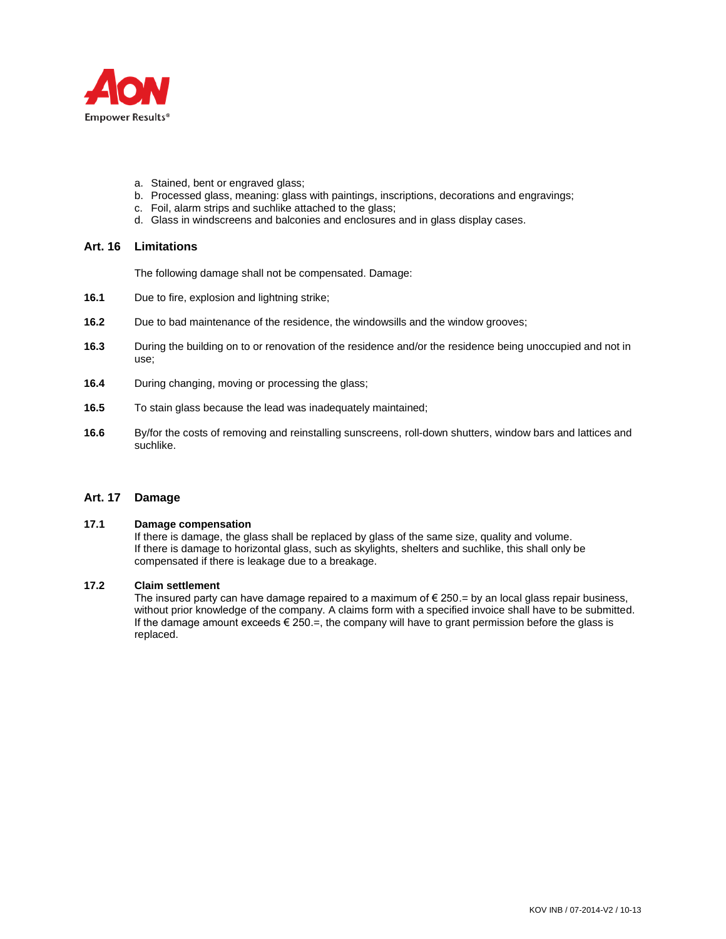

- a. Stained, bent or engraved glass;
- b. Processed glass, meaning: glass with paintings, inscriptions, decorations and engravings;
- c. Foil, alarm strips and suchlike attached to the glass;
- d. Glass in windscreens and balconies and enclosures and in glass display cases.

### **Art. 16 Limitations**

The following damage shall not be compensated. Damage:

- **16.1** Due to fire, explosion and lightning strike;
- **16.2** Due to bad maintenance of the residence, the windowsills and the window grooves;
- **16.3** During the building on to or renovation of the residence and/or the residence being unoccupied and not in use;
- **16.4** During changing, moving or processing the glass;
- **16.5** To stain glass because the lead was inadequately maintained;
- **16.6** By/for the costs of removing and reinstalling sunscreens, roll-down shutters, window bars and lattices and suchlike.

### **Art. 17 Damage**

#### **17.1 Damage compensation**

If there is damage, the glass shall be replaced by glass of the same size, quality and volume. If there is damage to horizontal glass, such as skylights, shelters and suchlike, this shall only be compensated if there is leakage due to a breakage.

#### **17.2 Claim settlement**

The insured party can have damage repaired to a maximum of  $\epsilon$  250. = by an local glass repair business, without prior knowledge of the company. A claims form with a specified invoice shall have to be submitted. If the damage amount exceeds  $\epsilon$  250. $=$ , the company will have to grant permission before the glass is replaced.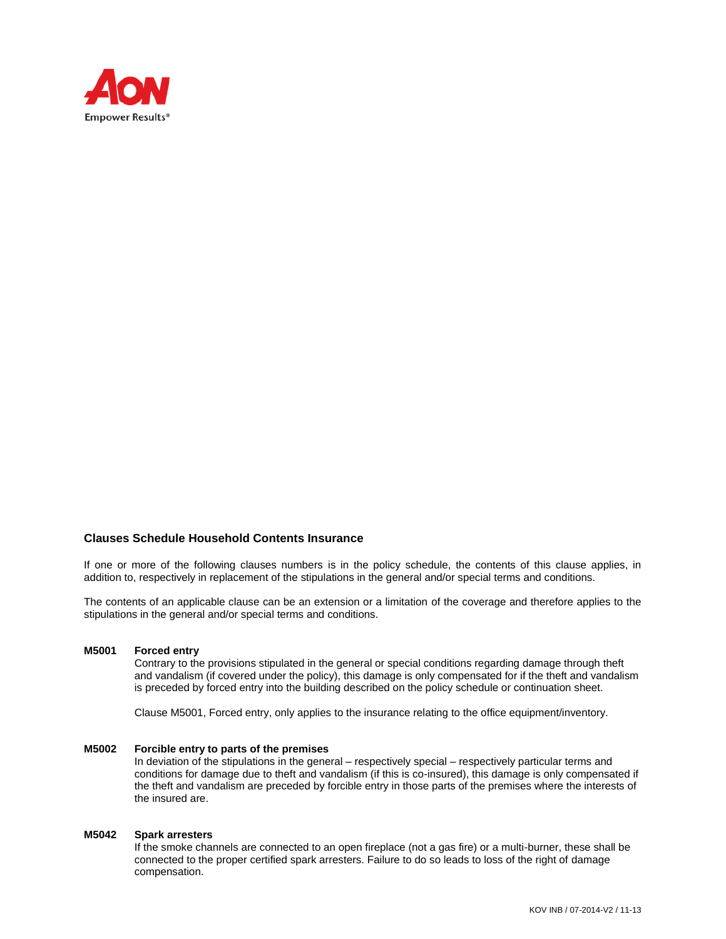

### **Clauses Schedule Household Contents Insurance**

If one or more of the following clauses numbers is in the policy schedule, the contents of this clause applies, in addition to, respectively in replacement of the stipulations in the general and/or special terms and conditions.

The contents of an applicable clause can be an extension or a limitation of the coverage and therefore applies to the stipulations in the general and/or special terms and conditions.

#### **M5001 Forced entry**

Contrary to the provisions stipulated in the general or special conditions regarding damage through theft and vandalism (if covered under the policy), this damage is only compensated for if the theft and vandalism is preceded by forced entry into the building described on the policy schedule or continuation sheet.

Clause M5001, Forced entry, only applies to the insurance relating to the office equipment/inventory.

#### **M5002 Forcible entry to parts of the premises**

In deviation of the stipulations in the general – respectively special – respectively particular terms and conditions for damage due to theft and vandalism (if this is co-insured), this damage is only compensated if the theft and vandalism are preceded by forcible entry in those parts of the premises where the interests of the insured are.

### **M5042 Spark arresters**

If the smoke channels are connected to an open fireplace (not a gas fire) or a multi-burner, these shall be connected to the proper certified spark arresters. Failure to do so leads to loss of the right of damage compensation.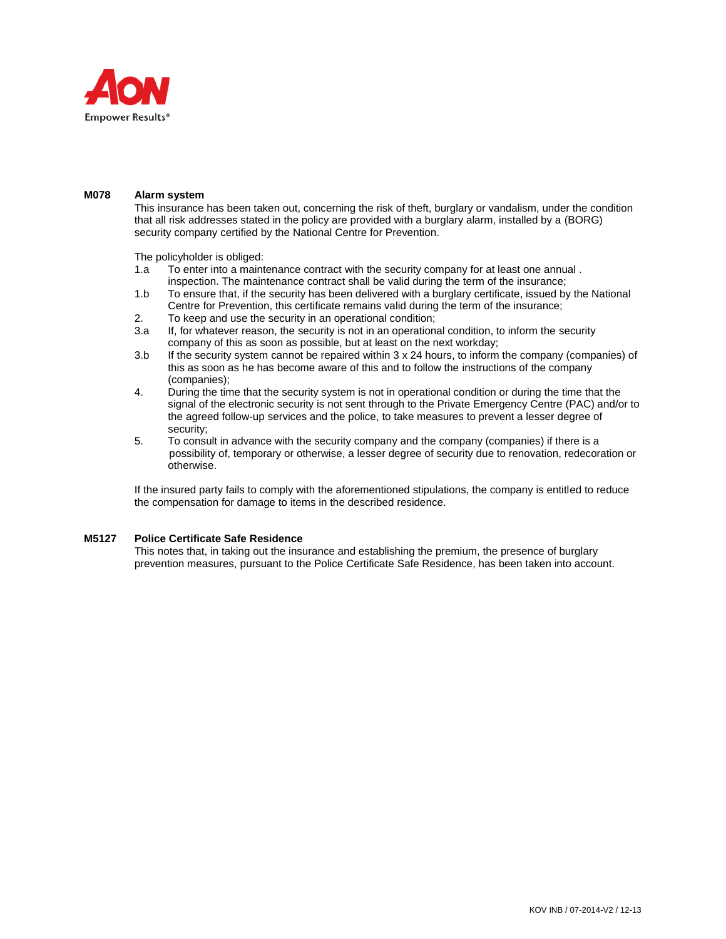

#### **M078 Alarm system**

This insurance has been taken out, concerning the risk of theft, burglary or vandalism, under the condition that all risk addresses stated in the policy are provided with a burglary alarm, installed by a (BORG) security company certified by the National Centre for Prevention.

The policyholder is obliged:

- 1.a To enter into a maintenance contract with the security company for at least one annual . inspection. The maintenance contract shall be valid during the term of the insurance;
- 1.b To ensure that, if the security has been delivered with a burglary certificate, issued by the National Centre for Prevention, this certificate remains valid during the term of the insurance;
- 2. To keep and use the security in an operational condition;
- 3.a If, for whatever reason, the security is not in an operational condition, to inform the security company of this as soon as possible, but at least on the next workday;
- 3.b If the security system cannot be repaired within 3 x 24 hours, to inform the company (companies) of this as soon as he has become aware of this and to follow the instructions of the company (companies);
- 4. During the time that the security system is not in operational condition or during the time that the signal of the electronic security is not sent through to the Private Emergency Centre (PAC) and/or to the agreed follow-up services and the police, to take measures to prevent a lesser degree of security;
- 5. To consult in advance with the security company and the company (companies) if there is a possibility of, temporary or otherwise, a lesser degree of security due to renovation, redecoration or otherwise.

If the insured party fails to comply with the aforementioned stipulations, the company is entitled to reduce the compensation for damage to items in the described residence.

### **M5127 Police Certificate Safe Residence**

This notes that, in taking out the insurance and establishing the premium, the presence of burglary prevention measures, pursuant to the Police Certificate Safe Residence, has been taken into account.